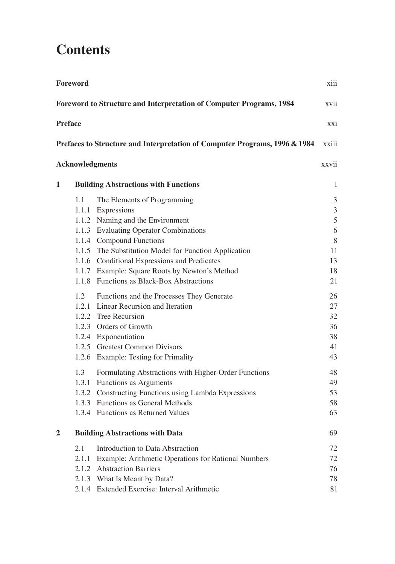## **Contents**

| Foreword<br>xiii                                                                    |              |                                                                                                                                                                                                                                                                                                                                                                                                                 |                                                     |  |  |  |  |
|-------------------------------------------------------------------------------------|--------------|-----------------------------------------------------------------------------------------------------------------------------------------------------------------------------------------------------------------------------------------------------------------------------------------------------------------------------------------------------------------------------------------------------------------|-----------------------------------------------------|--|--|--|--|
| Foreword to Structure and Interpretation of Computer Programs, 1984<br>xvii         |              |                                                                                                                                                                                                                                                                                                                                                                                                                 |                                                     |  |  |  |  |
| <b>Preface</b><br>XX <sub>1</sub>                                                   |              |                                                                                                                                                                                                                                                                                                                                                                                                                 |                                                     |  |  |  |  |
| Prefaces to Structure and Interpretation of Computer Programs, 1996 & 1984<br>xxiii |              |                                                                                                                                                                                                                                                                                                                                                                                                                 |                                                     |  |  |  |  |
| <b>Acknowledgments</b><br>xxvii                                                     |              |                                                                                                                                                                                                                                                                                                                                                                                                                 |                                                     |  |  |  |  |
| $\mathbf 1$                                                                         |              | <b>Building Abstractions with Functions</b>                                                                                                                                                                                                                                                                                                                                                                     | 1                                                   |  |  |  |  |
|                                                                                     | 1.1<br>1.2   | The Elements of Programming<br>1.1.1 Expressions<br>1.1.2 Naming and the Environment<br>1.1.3 Evaluating Operator Combinations<br>1.1.4 Compound Functions<br>1.1.5 The Substitution Model for Function Application<br>1.1.6 Conditional Expressions and Predicates<br>1.1.7 Example: Square Roots by Newton's Method<br>1.1.8 Functions as Black-Box Abstractions<br>Functions and the Processes They Generate | 3<br>3<br>5<br>6<br>8<br>11<br>13<br>18<br>21<br>26 |  |  |  |  |
|                                                                                     | 1.3          | 1.2.1 Linear Recursion and Iteration<br>1.2.2 Tree Recursion<br>1.2.3 Orders of Growth<br>1.2.4 Exponentiation<br>1.2.5 Greatest Common Divisors<br>1.2.6 Example: Testing for Primality                                                                                                                                                                                                                        | 27<br>32<br>36<br>38<br>41<br>43<br>48              |  |  |  |  |
|                                                                                     |              | Formulating Abstractions with Higher-Order Functions<br>1.3.1 Functions as Arguments<br>1.3.2 Constructing Functions using Lambda Expressions<br>1.3.3 Functions as General Methods<br>1.3.4 Functions as Returned Values                                                                                                                                                                                       | 49<br>53<br>58<br>63                                |  |  |  |  |
| $\overline{2}$                                                                      |              | <b>Building Abstractions with Data</b>                                                                                                                                                                                                                                                                                                                                                                          | 69                                                  |  |  |  |  |
|                                                                                     | 2.1<br>2.1.1 | Introduction to Data Abstraction<br>Example: Arithmetic Operations for Rational Numbers<br>2.1.2 Abstraction Barriers<br>2.1.3 What Is Meant by Data?<br>2.1.4 Extended Exercise: Interval Arithmetic                                                                                                                                                                                                           | 72<br>72<br>76<br>78<br>81                          |  |  |  |  |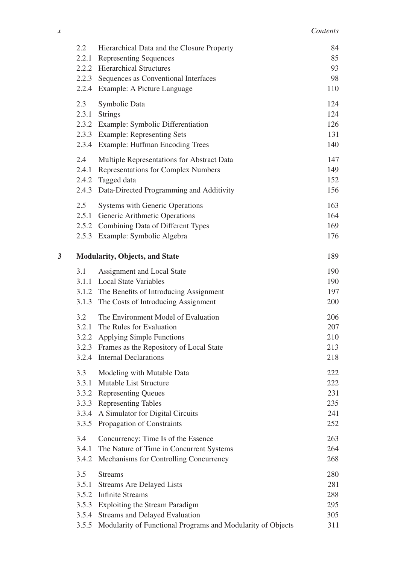|   | 2.2                                     | Hierarchical Data and the Closure Property<br>2.2.1 Representing Sequences<br>2.2.2 Hierarchical Structures<br>2.2.3 Sequences as Conventional Interfaces<br>2.2.4 Example: A Picture Language                         | 84<br>85<br>93<br>98<br>110            |
|---|-----------------------------------------|------------------------------------------------------------------------------------------------------------------------------------------------------------------------------------------------------------------------|----------------------------------------|
|   | 2.3                                     | Symbolic Data<br>2.3.1 Strings<br>2.3.2 Example: Symbolic Differentiation<br>2.3.3 Example: Representing Sets<br>2.3.4 Example: Huffman Encoding Trees                                                                 | 124<br>124<br>126<br>131<br>140        |
|   | 2.4                                     | Multiple Representations for Abstract Data<br>2.4.1 Representations for Complex Numbers<br>2.4.2 Tagged data<br>2.4.3 Data-Directed Programming and Additivity                                                         | 147<br>149<br>152<br>156               |
|   | 2.5                                     | <b>Systems with Generic Operations</b><br>2.5.1 Generic Arithmetic Operations<br>2.5.2 Combining Data of Different Types<br>2.5.3 Example: Symbolic Algebra                                                            | 163<br>164<br>169<br>176               |
| 3 | <b>Modularity, Objects, and State</b>   |                                                                                                                                                                                                                        | 189                                    |
|   | 3.1                                     | Assignment and Local State<br>3.1.1 Local State Variables<br>3.1.2 The Benefits of Introducing Assignment<br>3.1.3 The Costs of Introducing Assignment                                                                 | 190<br>190<br>197<br>200               |
|   | 3.2                                     | The Environment Model of Evaluation<br>3.2.1 The Rules for Evaluation<br>3.2.2 Applying Simple Functions<br>3.2.3 Frames as the Repository of Local State<br>3.2.4 Internal Declarations                               | 206<br>207<br>210<br>213<br>218        |
|   | 3.3<br>3.3.2<br>3.3.4<br>3.3.5          | Modeling with Mutable Data<br>3.3.1 Mutable List Structure<br><b>Representing Queues</b><br>3.3.3 Representing Tables<br>A Simulator for Digital Circuits<br>Propagation of Constraints                                | 222<br>222<br>231<br>235<br>241<br>252 |
|   | 3.4<br>3.4.1<br>3.4.2                   | Concurrency: Time Is of the Essence<br>The Nature of Time in Concurrent Systems<br>Mechanisms for Controlling Concurrency                                                                                              | 263<br>264<br>268                      |
|   | 3.5<br>3.5.1<br>3.5.2<br>3.5.4<br>3.5.5 | <b>Streams</b><br><b>Streams Are Delayed Lists</b><br><b>Infinite Streams</b><br>3.5.3 Exploiting the Stream Paradigm<br>Streams and Delayed Evaluation<br>Modularity of Functional Programs and Modularity of Objects | 280<br>281<br>288<br>295<br>305<br>311 |
|   |                                         |                                                                                                                                                                                                                        |                                        |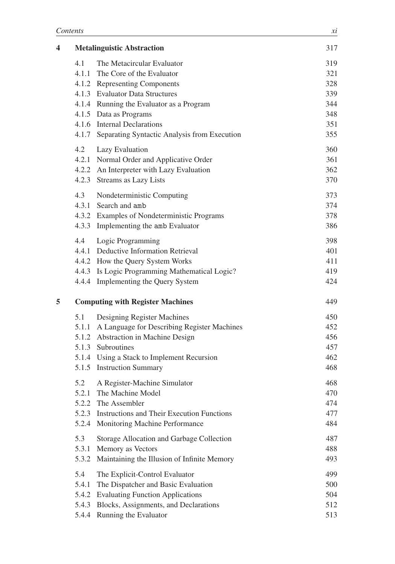| 4 |       | <b>Metalinguistic Abstraction</b>                  | 317 |
|---|-------|----------------------------------------------------|-----|
|   | 4.1   | The Metacircular Evaluator                         | 319 |
|   |       | 4.1.1 The Core of the Evaluator                    | 321 |
|   |       | 4.1.2 Representing Components                      | 328 |
|   |       | 4.1.3 Evaluator Data Structures                    | 339 |
|   |       | 4.1.4 Running the Evaluator as a Program           | 344 |
|   |       | 4.1.5 Data as Programs                             | 348 |
|   |       | 4.1.6 Internal Declarations                        | 351 |
|   |       | 4.1.7 Separating Syntactic Analysis from Execution | 355 |
|   | 4.2   | Lazy Evaluation                                    | 360 |
|   |       | 4.2.1 Normal Order and Applicative Order           | 361 |
|   |       | 4.2.2 An Interpreter with Lazy Evaluation          | 362 |
|   |       | 4.2.3 Streams as Lazy Lists                        | 370 |
|   | 4.3   | Nondeterministic Computing                         | 373 |
|   |       | 4.3.1 Search and amb                               | 374 |
|   |       | 4.3.2 Examples of Nondeterministic Programs        | 378 |
|   |       | 4.3.3 Implementing the amb Evaluator               | 386 |
|   | 4.4   | Logic Programming                                  | 398 |
|   |       | 4.4.1 Deductive Information Retrieval              | 401 |
|   |       | 4.4.2 How the Query System Works                   | 411 |
|   |       | 4.4.3 Is Logic Programming Mathematical Logic?     | 419 |
|   |       | 4.4.4 Implementing the Query System                | 424 |
| 5 |       | <b>Computing with Register Machines</b>            | 449 |
|   | 5.1   | Designing Register Machines                        | 450 |
|   |       | 5.1.1 A Language for Describing Register Machines  | 452 |
|   |       | 5.1.2 Abstraction in Machine Design                | 456 |
|   |       | 5.1.3 Subroutines                                  | 457 |
|   |       | 5.1.4 Using a Stack to Implement Recursion         | 462 |
|   |       | 5.1.5 Instruction Summary                          | 468 |
|   | 5.2   | A Register-Machine Simulator                       | 468 |
|   |       | 5.2.1 The Machine Model                            | 470 |
|   | 5.2.2 | The Assembler                                      | 474 |
|   | 5.2.3 | <b>Instructions and Their Execution Functions</b>  | 477 |
|   | 5.2.4 | Monitoring Machine Performance                     | 484 |
|   | 5.3   | Storage Allocation and Garbage Collection          | 487 |
|   | 5.3.1 | Memory as Vectors                                  | 488 |
|   | 5.3.2 | Maintaining the Illusion of Infinite Memory        | 493 |
|   | 5.4   | The Explicit-Control Evaluator                     | 499 |
|   | 5.4.1 | The Dispatcher and Basic Evaluation                | 500 |
|   |       | 5.4.2 Evaluating Function Applications             | 504 |
|   |       | 5.4.3 Blocks, Assignments, and Declarations        | 512 |
|   | 5.4.4 | Running the Evaluator                              | 513 |